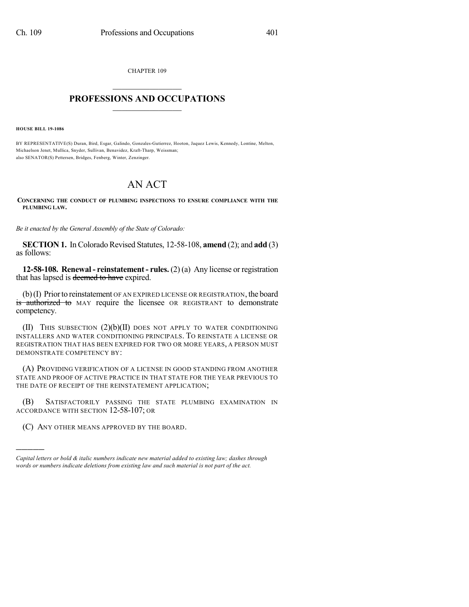CHAPTER 109  $\mathcal{L}_\text{max}$  . The set of the set of the set of the set of the set of the set of the set of the set of the set of the set of the set of the set of the set of the set of the set of the set of the set of the set of the set

## **PROFESSIONS AND OCCUPATIONS**  $\frac{1}{2}$  ,  $\frac{1}{2}$  ,  $\frac{1}{2}$  ,  $\frac{1}{2}$  ,  $\frac{1}{2}$  ,  $\frac{1}{2}$  ,  $\frac{1}{2}$

**HOUSE BILL 19-1086**

)))))

BY REPRESENTATIVE(S) Duran, Bird, Esgar, Galindo, Gonzales-Gutierrez, Hooton, Jaquez Lewis, Kennedy, Lontine, Melton, Michaelson Jenet, Mullica, Snyder, Sullivan, Benavidez, Kraft-Tharp, Weissman; also SENATOR(S) Pettersen, Bridges, Fenberg, Winter, Zenzinger.

## AN ACT

**CONCERNING THE CONDUCT OF PLUMBING INSPECTIONS TO ENSURE COMPLIANCE WITH THE PLUMBING LAW.**

*Be it enacted by the General Assembly of the State of Colorado:*

**SECTION 1.** In Colorado Revised Statutes, 12-58-108, **amend** (2); and **add** (3) as follows:

**12-58-108. Renewal - reinstatement - rules.** (2) (a) Any license or registration that has lapsed is deemed to have expired.

(b)(I) Priorto reinstatement OF AN EXPIRED LICENSE OR REGISTRATION, the board is authorized to MAY require the licensee OR REGISTRANT to demonstrate competency.

(II) THIS SUBSECTION  $(2)(b)(II)$  does not apply to water conditioning INSTALLERS AND WATER CONDITIONING PRINCIPALS. TO REINSTATE A LICENSE OR REGISTRATION THAT HAS BEEN EXPIRED FOR TWO OR MORE YEARS, A PERSON MUST DEMONSTRATE COMPETENCY BY:

(A) PROVIDING VERIFICATION OF A LICENSE IN GOOD STANDING FROM ANOTHER STATE AND PROOF OF ACTIVE PRACTICE IN THAT STATE FOR THE YEAR PREVIOUS TO THE DATE OF RECEIPT OF THE REINSTATEMENT APPLICATION;

(B) SATISFACTORILY PASSING THE STATE PLUMBING EXAMINATION IN ACCORDANCE WITH SECTION 12-58-107; OR

(C) ANY OTHER MEANS APPROVED BY THE BOARD.

*Capital letters or bold & italic numbers indicate new material added to existing law; dashes through words or numbers indicate deletions from existing law and such material is not part of the act.*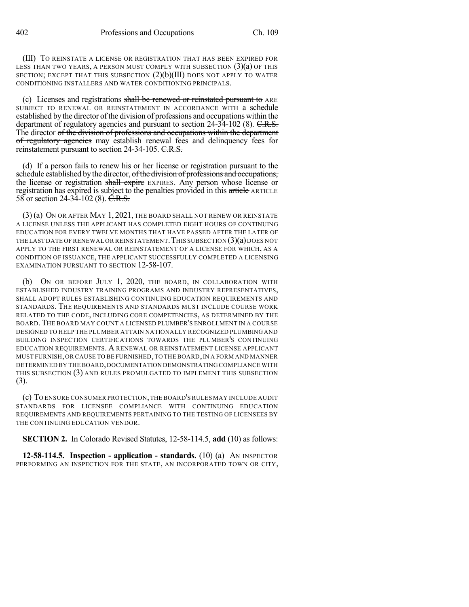(III) TO REINSTATE A LICENSE OR REGISTRATION THAT HAS BEEN EXPIRED FOR LESS THAN TWO YEARS, A PERSON MUST COMPLY WITH SUBSECTION (3)(a) OF THIS SECTION; EXCEPT THAT THIS SUBSECTION  $(2)(b)(III)$  does not apply to water CONDITIONING INSTALLERS AND WATER CONDITIONING PRINCIPALS.

(c) Licenses and registrations shall be renewed or reinstated pursuant to ARE SUBJECT TO RENEWAL OR REINSTATEMENT IN ACCORDANCE WITH a schedule established by the director of the division of professions and occupations within the department of regulatory agencies and pursuant to section 24-34-102 (8). C.R.S. The director of the division of professions and occupations within the department of regulatory agencies may establish renewal fees and delinquency fees for reinstatement pursuant to section 24-34-105. C.R.S.

(d) If a person fails to renew his or her license or registration pursuant to the schedule established by the director, of the division of professions and occupations, the license or registration shall expire EXPIRES. Any person whose license or registration has expired is subject to the penalties provided in this article ARTICLE 58 or section 24-34-102 (8). C.R.S.

(3) (a) ON OR AFTER MAY 1, 2021, THE BOARD SHALL NOT RENEW OR REINSTATE A LICENSE UNLESS THE APPLICANT HAS COMPLETED EIGHT HOURS OF CONTINUING EDUCATION FOR EVERY TWELVE MONTHS THAT HAVE PASSED AFTER THE LATER OF THE LAST DATE OF RENEWAL OR REINSTATEMENT. THIS SUBSECTION  $(3)(a)$  DOES NOT APPLY TO THE FIRST RENEWAL OR REINSTATEMENT OF A LICENSE FOR WHICH, AS A CONDITION OF ISSUANCE, THE APPLICANT SUCCESSFULLY COMPLETED A LICENSING EXAMINATION PURSUANT TO SECTION 12-58-107.

(b) ON OR BEFORE JULY 1, 2020, THE BOARD, IN COLLABORATION WITH ESTABLISHED INDUSTRY TRAINING PROGRAMS AND INDUSTRY REPRESENTATIVES, SHALL ADOPT RULES ESTABLISHING CONTINUING EDUCATION REQUIREMENTS AND STANDARDS. THE REQUIREMENTS AND STANDARDS MUST INCLUDE COURSE WORK RELATED TO THE CODE, INCLUDING CORE COMPETENCIES, AS DETERMINED BY THE BOARD.THE BOARD MAY COUNT A LICENSED PLUMBER'S ENROLLMENT IN A COURSE DESIGNED TO HELP THE PLUMBER ATTAIN NATIONALLY RECOGNIZED PLUMBING AND BUILDING INSPECTION CERTIFICATIONS TOWARDS THE PLUMBER'S CONTINUING EDUCATION REQUIREMENTS. A RENEWAL OR REINSTATEMENT LICENSE APPLICANT MUST FURNISH,OR CAUSE TO BE FURNISHED,TO THE BOARD,IN A FORM AND MANNER DETERMINED BY THE BOARD,DOCUMENTATION DEMONSTRATING COMPLIANCE WITH THIS SUBSECTION (3) AND RULES PROMULGATED TO IMPLEMENT THIS SUBSECTION (3).

(c) TO ENSURE CONSUMER PROTECTION,THE BOARD'S RULES MAY INCLUDE AUDIT STANDARDS FOR LICENSEE COMPLIANCE WITH CONTINUING EDUCATION REQUIREMENTS AND REQUIREMENTS PERTAINING TO THE TESTING OF LICENSEES BY THE CONTINUING EDUCATION VENDOR.

**SECTION 2.** In Colorado Revised Statutes, 12-58-114.5, **add** (10) as follows:

**12-58-114.5. Inspection - application - standards.** (10) (a) AN INSPECTOR PERFORMING AN INSPECTION FOR THE STATE, AN INCORPORATED TOWN OR CITY,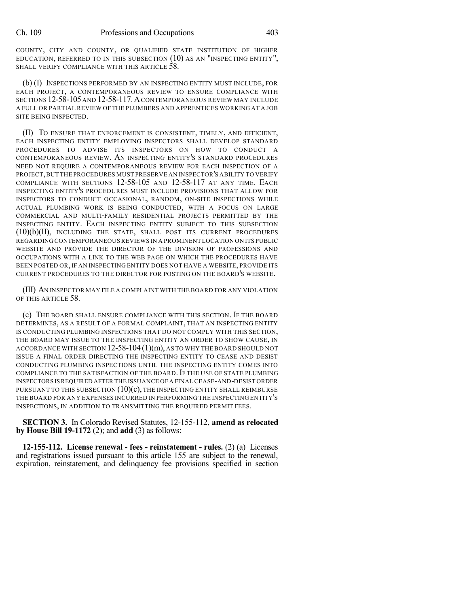COUNTY, CITY AND COUNTY, OR QUALIFIED STATE INSTITUTION OF HIGHER EDUCATION, REFERRED TO IN THIS SUBSECTION (10) AS AN "INSPECTING ENTITY", SHALL VERIFY COMPLIANCE WITH THIS ARTICLE 58.

(b) (I) INSPECTIONS PERFORMED BY AN INSPECTING ENTITY MUST INCLUDE, FOR EACH PROJECT, A CONTEMPORANEOUS REVIEW TO ENSURE COMPLIANCE WITH SECTIONS 12-58-105 AND 12-58-117.ACONTEMPORANEOUS REVIEW MAY INCLUDE A FULL OR PARTIAL REVIEW OF THE PLUMBERS AND APPRENTICES WORKING AT A JOB SITE BEING INSPECTED.

(II) TO ENSURE THAT ENFORCEMENT IS CONSISTENT, TIMELY, AND EFFICIENT, EACH INSPECTING ENTITY EMPLOYING INSPECTORS SHALL DEVELOP STANDARD PROCEDURES TO ADVISE ITS INSPECTORS ON HOW TO CONDUCT A CONTEMPORANEOUS REVIEW. AN INSPECTING ENTITY'S STANDARD PROCEDURES NEED NOT REQUIRE A CONTEMPORANEOUS REVIEW FOR EACH INSPECTION OF A PROJECT,BUT THE PROCEDURES MUST PRESERVE AN INSPECTOR'S ABILITY TO VERIFY COMPLIANCE WITH SECTIONS 12-58-105 AND 12-58-117 AT ANY TIME. EACH INSPECTING ENTITY'S PROCEDURES MUST INCLUDE PROVISIONS THAT ALLOW FOR INSPECTORS TO CONDUCT OCCASIONAL, RANDOM, ON-SITE INSPECTIONS WHILE ACTUAL PLUMBING WORK IS BEING CONDUCTED, WITH A FOCUS ON LARGE COMMERCIAL AND MULTI-FAMILY RESIDENTIAL PROJECTS PERMITTED BY THE INSPECTING ENTITY. EACH INSPECTING ENTITY SUBJECT TO THIS SUBSECTION (10)(b)(II), INCLUDING THE STATE, SHALL POST ITS CURRENT PROCEDURES REGARDING CONTEMPORANEOUS REVIEWS IN A PROMINENT LOCATION ON ITS PUBLIC WEBSITE AND PROVIDE THE DIRECTOR OF THE DIVISION OF PROFESSIONS AND OCCUPATIONS WITH A LINK TO THE WEB PAGE ON WHICH THE PROCEDURES HAVE BEEN POSTED OR, IF AN INSPECTING ENTITY DOES NOT HAVE A WEBSITE, PROVIDE ITS CURRENT PROCEDURES TO THE DIRECTOR FOR POSTING ON THE BOARD'S WEBSITE.

(III) AN INSPECTOR MAY FILE A COMPLAINT WITH THE BOARD FOR ANY VIOLATION OF THIS ARTICLE 58.

(c) THE BOARD SHALL ENSURE COMPLIANCE WITH THIS SECTION. IF THE BOARD DETERMINES, AS A RESULT OF A FORMAL COMPLAINT, THAT AN INSPECTING ENTITY IS CONDUCTING PLUMBING INSPECTIONS THAT DO NOT COMPLY WITH THIS SECTION, THE BOARD MAY ISSUE TO THE INSPECTING ENTITY AN ORDER TO SHOW CAUSE, IN ACCORDANCE WITH SECTION 12-58-104 (1)(m), AS TO WHY THE BOARD SHOULD NOT ISSUE A FINAL ORDER DIRECTING THE INSPECTING ENTITY TO CEASE AND DESIST CONDUCTING PLUMBING INSPECTIONS UNTIL THE INSPECTING ENTITY COMES INTO COMPLIANCE TO THE SATISFACTION OF THE BOARD. IF THE USE OF STATE PLUMBING INSPECTORS ISREQUIRED AFTER THE ISSUANCE OFA FINAL CEASE-AND-DESIST ORDER PURSUANT TO THIS SUBSECTION  $(10)(c)$ , THE INSPECTING ENTITY SHALL REIMBURSE THE BOARD FOR ANY EXPENSES INCURRED IN PERFORMING THE INSPECTING ENTITY'S INSPECTIONS, IN ADDITION TO TRANSMITTING THE REQUIRED PERMIT FEES.

**SECTION 3.** In Colorado Revised Statutes, 12-155-112, **amend as relocated by House Bill 19-1172** (2); and **add** (3) as follows:

**12-155-112. License renewal - fees - reinstatement - rules.** (2) (a) Licenses and registrations issued pursuant to this article 155 are subject to the renewal, expiration, reinstatement, and delinquency fee provisions specified in section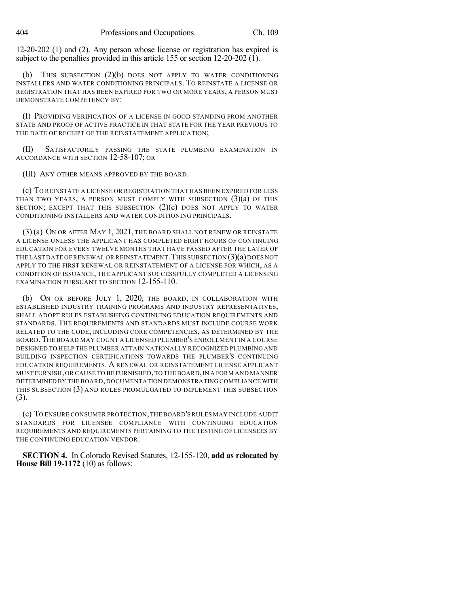12-20-202 (1) and (2). Any person whose license or registration has expired is subject to the penalties provided in this article 155 or section 12-20-202 (1).

THIS SUBSECTION  $(2)(b)$  DOES NOT APPLY TO WATER CONDITIONING INSTALLERS AND WATER CONDITIONING PRINCIPALS. TO REINSTATE A LICENSE OR REGISTRATION THAT HAS BEEN EXPIRED FOR TWO OR MORE YEARS, A PERSON MUST DEMONSTRATE COMPETENCY BY:

(I) PROVIDING VERIFICATION OF A LICENSE IN GOOD STANDING FROM ANOTHER STATE AND PROOF OF ACTIVE PRACTICE IN THAT STATE FOR THE YEAR PREVIOUS TO THE DATE OF RECEIPT OF THE REINSTATEMENT APPLICATION;

(II) SATISFACTORILY PASSING THE STATE PLUMBING EXAMINATION IN ACCORDANCE WITH SECTION 12-58-107; OR

(III) ANY OTHER MEANS APPROVED BY THE BOARD.

(c) TO REINSTATE A LICENSE OR REGISTRATION THAT HAS BEEN EXPIRED FOR LESS THAN TWO YEARS, A PERSON MUST COMPLY WITH SUBSECTION  $(3)(a)$  OF THIS SECTION; EXCEPT THAT THIS SUBSECTION (2)(c) DOES NOT APPLY TO WATER CONDITIONING INSTALLERS AND WATER CONDITIONING PRINCIPALS.

(3) (a) ON OR AFTER MAY 1, 2021, THE BOARD SHALL NOT RENEW OR REINSTATE A LICENSE UNLESS THE APPLICANT HAS COMPLETED EIGHT HOURS OF CONTINUING EDUCATION FOR EVERY TWELVE MONTHS THAT HAVE PASSED AFTER THE LATER OF THE LAST DATE OF RENEWAL OR REINSTATEMENT. THIS SUBSECTION (3)(a) DOES NOT APPLY TO THE FIRST RENEWAL OR REINSTATEMENT OF A LICENSE FOR WHICH, AS A CONDITION OF ISSUANCE, THE APPLICANT SUCCESSFULLY COMPLETED A LICENSING EXAMINATION PURSUANT TO SECTION 12-155-110.

(b) ON OR BEFORE JULY 1, 2020, THE BOARD, IN COLLABORATION WITH ESTABLISHED INDUSTRY TRAINING PROGRAMS AND INDUSTRY REPRESENTATIVES, SHALL ADOPT RULES ESTABLISHING CONTINUING EDUCATION REQUIREMENTS AND STANDARDS. THE REQUIREMENTS AND STANDARDS MUST INCLUDE COURSE WORK RELATED TO THE CODE, INCLUDING CORE COMPETENCIES, AS DETERMINED BY THE BOARD.THE BOARD MAY COUNT A LICENSED PLUMBER'S ENROLLMENT IN A COURSE DESIGNED TO HELP THE PLUMBER ATTAIN NATIONALLY RECOGNIZED PLUMBING AND BUILDING INSPECTION CERTIFICATIONS TOWARDS THE PLUMBER'S CONTINUING EDUCATION REQUIREMENTS. A RENEWAL OR REINSTATEMENT LICENSE APPLICANT MUST FURNISH,OR CAUSE TO BE FURNISHED,TO THE BOARD,IN A FORM AND MANNER DETERMINED BY THE BOARD,DOCUMENTATION DEMONSTRATING COMPLIANCE WITH THIS SUBSECTION (3) AND RULES PROMULGATED TO IMPLEMENT THIS SUBSECTION (3).

(c) TO ENSURE CONSUMER PROTECTION,THE BOARD'S RULES MAY INCLUDE AUDIT STANDARDS FOR LICENSEE COMPLIANCE WITH CONTINUING EDUCATION REQUIREMENTS AND REQUIREMENTS PERTAINING TO THE TESTING OF LICENSEES BY THE CONTINUING EDUCATION VENDOR.

**SECTION 4.** In Colorado Revised Statutes, 12-155-120, **add as relocated by House Bill 19-1172** (10) as follows: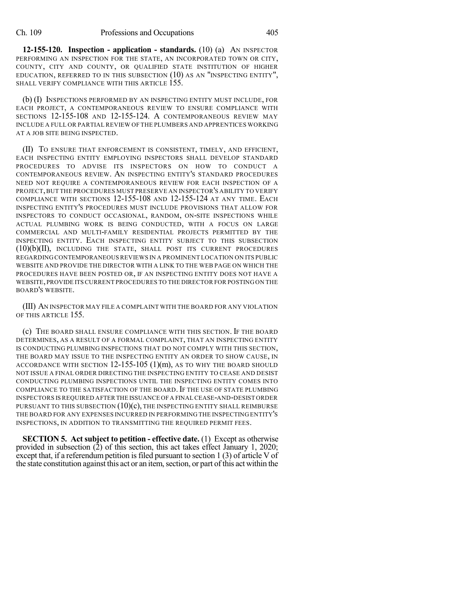**12-155-120. Inspection - application - standards.** (10) (a) AN INSPECTOR PERFORMING AN INSPECTION FOR THE STATE, AN INCORPORATED TOWN OR CITY, COUNTY, CITY AND COUNTY, OR QUALIFIED STATE INSTITUTION OF HIGHER EDUCATION, REFERRED TO IN THIS SUBSECTION (10) AS AN "INSPECTING ENTITY", SHALL VERIFY COMPLIANCE WITH THIS ARTICLE 155.

(b) (I) INSPECTIONS PERFORMED BY AN INSPECTING ENTITY MUST INCLUDE, FOR EACH PROJECT, A CONTEMPORANEOUS REVIEW TO ENSURE COMPLIANCE WITH SECTIONS 12-155-108 AND 12-155-124. A CONTEMPORANEOUS REVIEW MAY INCLUDE A FULL OR PARTIAL REVIEW OF THE PLUMBERS AND APPRENTICES WORKING AT A JOB SITE BEING INSPECTED.

(II) TO ENSURE THAT ENFORCEMENT IS CONSISTENT, TIMELY, AND EFFICIENT, EACH INSPECTING ENTITY EMPLOYING INSPECTORS SHALL DEVELOP STANDARD PROCEDURES TO ADVISE ITS INSPECTORS ON HOW TO CONDUCT A CONTEMPORANEOUS REVIEW. AN INSPECTING ENTITY'S STANDARD PROCEDURES NEED NOT REQUIRE A CONTEMPORANEOUS REVIEW FOR EACH INSPECTION OF A PROJECT,BUT THE PROCEDURES MUST PRESERVE AN INSPECTOR'S ABILITY TO VERIFY COMPLIANCE WITH SECTIONS 12-155-108 AND 12-155-124 AT ANY TIME. EACH INSPECTING ENTITY'S PROCEDURES MUST INCLUDE PROVISIONS THAT ALLOW FOR INSPECTORS TO CONDUCT OCCASIONAL, RANDOM, ON-SITE INSPECTIONS WHILE ACTUAL PLUMBING WORK IS BEING CONDUCTED, WITH A FOCUS ON LARGE COMMERCIAL AND MULTI-FAMILY RESIDENTIAL PROJECTS PERMITTED BY THE INSPECTING ENTITY. EACH INSPECTING ENTITY SUBJECT TO THIS SUBSECTION (10)(b)(II), INCLUDING THE STATE, SHALL POST ITS CURRENT PROCEDURES REGARDING CONTEMPORANEOUSREVIEWS IN A PROMINENT LOCATION ON ITS PUBLIC WEBSITE AND PROVIDE THE DIRECTOR WITH A LINK TO THE WEB PAGE ON WHICH THE PROCEDURES HAVE BEEN POSTED OR, IF AN INSPECTING ENTITY DOES NOT HAVE A WEBSITE,PROVIDE ITS CURRENT PROCEDURES TO THE DIRECTOR FOR POSTING ON THE BOARD'S WEBSITE.

(III) AN INSPECTOR MAY FILE A COMPLAINT WITH THE BOARD FOR ANY VIOLATION OF THIS ARTICLE 155.

(c) THE BOARD SHALL ENSURE COMPLIANCE WITH THIS SECTION. IF THE BOARD DETERMINES, AS A RESULT OF A FORMAL COMPLAINT, THAT AN INSPECTING ENTITY IS CONDUCTING PLUMBING INSPECTIONS THAT DO NOT COMPLY WITH THIS SECTION, THE BOARD MAY ISSUE TO THE INSPECTING ENTITY AN ORDER TO SHOW CAUSE, IN ACCORDANCE WITH SECTION  $12-155-105$   $(1)(m)$ , as to why the board should NOT ISSUE A FINAL ORDER DIRECTING THE INSPECTING ENTITY TO CEASE AND DESIST CONDUCTING PLUMBING INSPECTIONS UNTIL THE INSPECTING ENTITY COMES INTO COMPLIANCE TO THE SATISFACTION OF THE BOARD. IF THE USE OF STATE PLUMBING INSPECTORS IS REQUIRED AFTER THE ISSUANCE OFA FINAL CEASE-AND-DESIST ORDER PURSUANT TO THIS SUBSECTION  $(10)(c)$ , THE INSPECTING ENTITY SHALL REIMBURSE THE BOARD FOR ANY EXPENSES INCURRED IN PERFORMING THE INSPECTING ENTITY'S INSPECTIONS, IN ADDITION TO TRANSMITTING THE REQUIRED PERMIT FEES.

**SECTION 5. Act subject to petition - effective date.** (1) Except as otherwise provided in subsection (2) of this section, this act takes effect January 1, 2020; except that, if a referendum petition is filed pursuant to section  $1(3)$  of article V of the state constitution against this act or an item, section, or part of this act within the